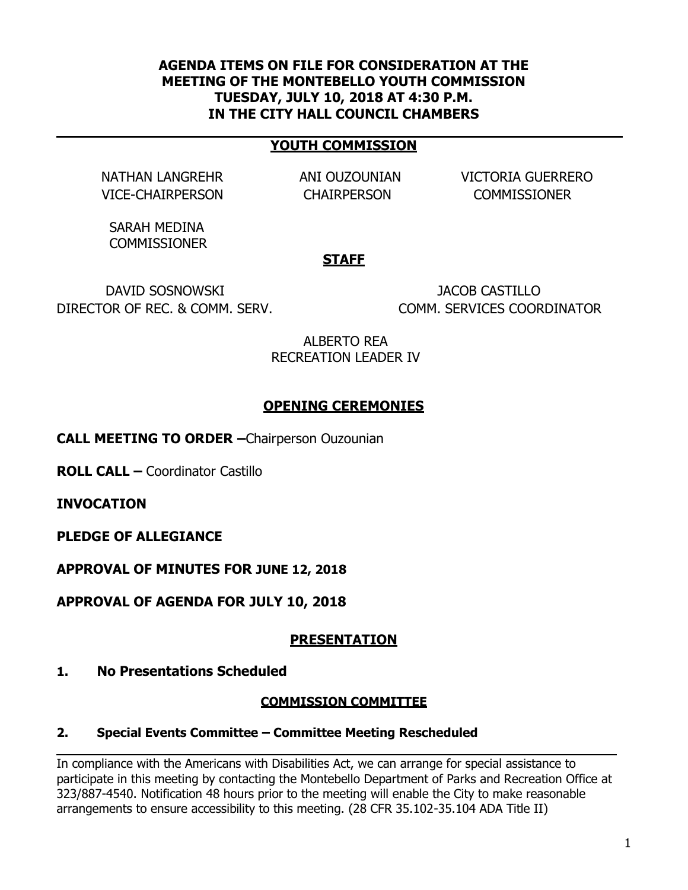### **AGENDA ITEMS ON FILE FOR CONSIDERATION AT THE MEETING OF THE MONTEBELLO YOUTH COMMISSION TUESDAY, JULY 10, 2018 AT 4:30 P.M. IN THE CITY HALL COUNCIL CHAMBERS**

#### **YOUTH COMMISSION**

VICE-CHAIRPERSON CHAIRPERSON COMMISSIONER

NATHAN LANGREHR ANI OUZOUNIAN VICTORIA GUERRERO

SARAH MEDINA **COMMISSIONER** 

#### **STAFF**

DAVID SOSNOWSKI JACOB CASTILLO DIRECTOR OF REC. & COMM. SERV. COMM. SERVICES COORDINATOR

ALBERTO REA RECREATION LEADER IV

## **OPENING CEREMONIES**

**CALL MEETING TO ORDER –**Chairperson Ouzounian

**ROLL CALL –** Coordinator Castillo

**INVOCATION**

**PLEDGE OF ALLEGIANCE**

**APPROVAL OF MINUTES FOR JUNE 12, 2018**

**APPROVAL OF AGENDA FOR JULY 10, 2018**

## **PRESENTATION**

#### **1. No Presentations Scheduled**

#### **COMMISSION COMMITTEE**

#### **2. Special Events Committee – Committee Meeting Rescheduled**

In compliance with the Americans with Disabilities Act, we can arrange for special assistance to participate in this meeting by contacting the Montebello Department of Parks and Recreation Office at 323/887-4540. Notification 48 hours prior to the meeting will enable the City to make reasonable arrangements to ensure accessibility to this meeting. (28 CFR 35.102-35.104 ADA Title II)